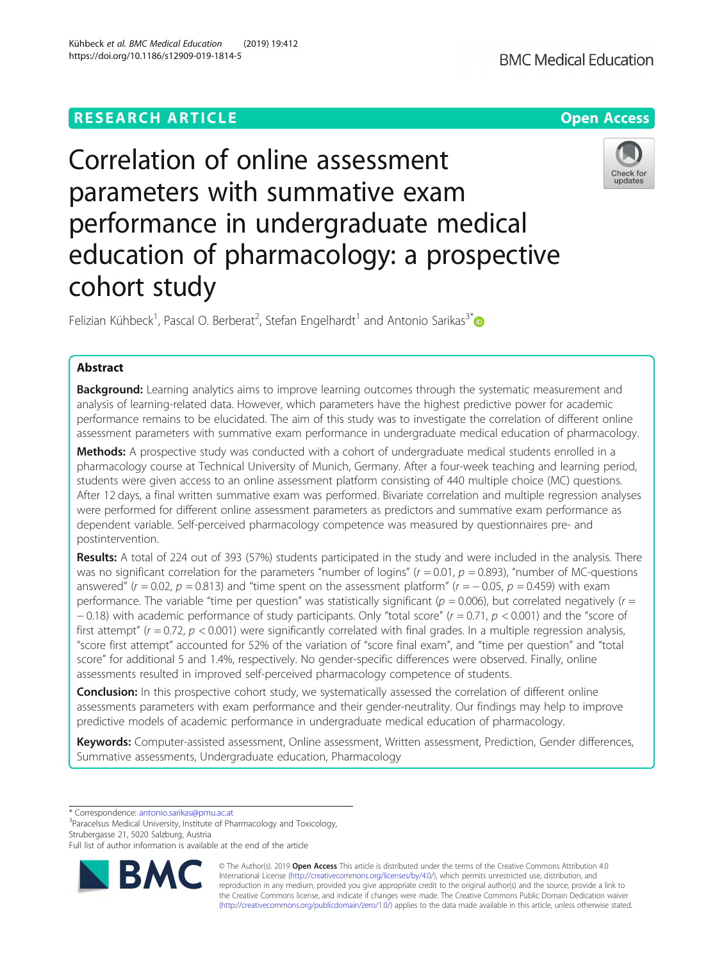# **RESEARCH ARTICLE Example 2014 12:30 The Contract of Contract ACCESS**

https://doi.org/10.1186/s12909-019-1814-5

Kühbeck et al. BMC Medical Education (2019) 19:412

# Correlation of online assessment parameters with summative exam performance in undergraduate medical education of pharmacology: a prospective cohort study

Felizian Kühbeck<sup>1</sup>, Pascal O. Berberat<sup>2</sup>, Stefan Engelhardt<sup>1</sup> and Antonio Sarikas<sup>3\*</sup>

# Abstract

**Background:** Learning analytics aims to improve learning outcomes through the systematic measurement and analysis of learning-related data. However, which parameters have the highest predictive power for academic performance remains to be elucidated. The aim of this study was to investigate the correlation of different online assessment parameters with summative exam performance in undergraduate medical education of pharmacology.

Methods: A prospective study was conducted with a cohort of undergraduate medical students enrolled in a pharmacology course at Technical University of Munich, Germany. After a four-week teaching and learning period, students were given access to an online assessment platform consisting of 440 multiple choice (MC) questions. After 12 days, a final written summative exam was performed. Bivariate correlation and multiple regression analyses were performed for different online assessment parameters as predictors and summative exam performance as dependent variable. Self-perceived pharmacology competence was measured by questionnaires pre- and postintervention.

Results: A total of 224 out of 393 (57%) students participated in the study and were included in the analysis. There was no significant correlation for the parameters "number of logins" ( $r = 0.01$ ,  $p = 0.893$ ), "number of MC-questions answered" ( $r = 0.02$ ,  $p = 0.813$ ) and "time spent on the assessment platform" ( $r = -0.05$ ,  $p = 0.459$ ) with exam performance. The variable "time per question" was statistically significant ( $p = 0.006$ ), but correlated negatively ( $r =$  $-0.18$ ) with academic performance of study participants. Only "total score" ( $r = 0.71$ ,  $p < 0.001$ ) and the "score of first attempt"  $(r = 0.72, p < 0.001)$  were significantly correlated with final grades. In a multiple regression analysis, "score first attempt" accounted for 52% of the variation of "score final exam", and "time per question" and "total score" for additional 5 and 1.4%, respectively. No gender-specific differences were observed. Finally, online assessments resulted in improved self-perceived pharmacology competence of students.

**Conclusion:** In this prospective cohort study, we systematically assessed the correlation of different online assessments parameters with exam performance and their gender-neutrality. Our findings may help to improve predictive models of academic performance in undergraduate medical education of pharmacology.

Keywords: Computer-assisted assessment, Online assessment, Written assessment, Prediction, Gender differences, Summative assessments, Undergraduate education, Pharmacology

\* Correspondence: [antonio.sarikas@pmu.ac.at](mailto:antonio.sarikas@pmu.ac.at) <sup>3</sup>

RA

<sup>3</sup>Paracelsus Medical University, Institute of Pharmacology and Toxicology, Strubergasse 21, 5020 Salzburg, Austria

© The Author(s). 2019 Open Access This article is distributed under the terms of the Creative Commons Attribution 4.0 International License [\(http://creativecommons.org/licenses/by/4.0/](http://creativecommons.org/licenses/by/4.0/)), which permits unrestricted use, distribution, and reproduction in any medium, provided you give appropriate credit to the original author(s) and the source, provide a link to the Creative Commons license, and indicate if changes were made. The Creative Commons Public Domain Dedication waiver [\(http://creativecommons.org/publicdomain/zero/1.0/](http://creativecommons.org/publicdomain/zero/1.0/)) applies to the data made available in this article, unless otherwise stated.





Full list of author information is available at the end of the article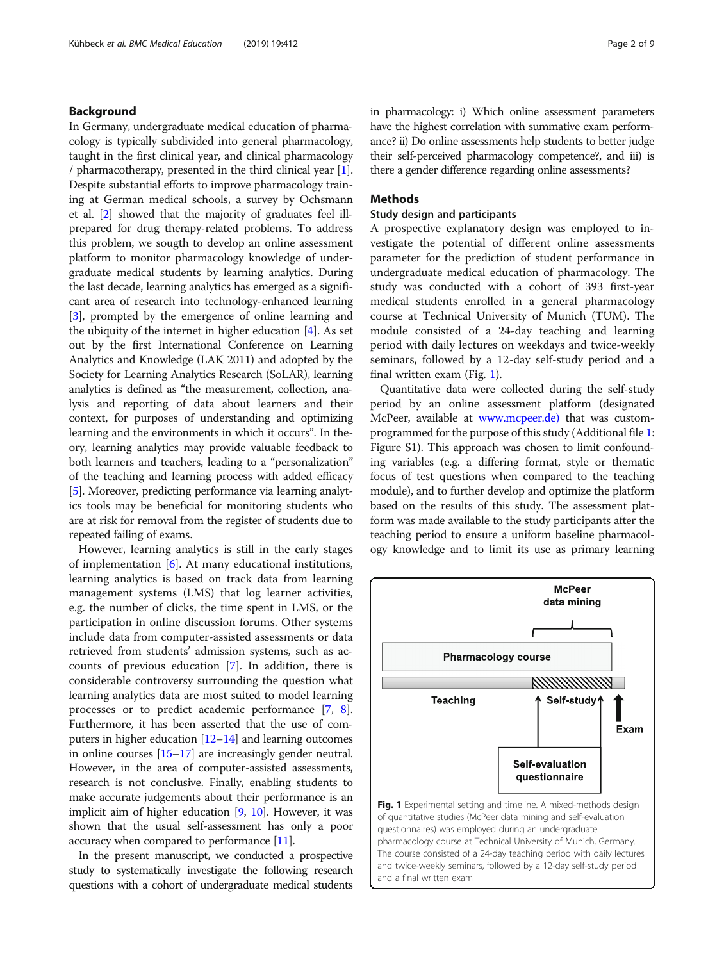# <span id="page-1-0"></span>Background

In Germany, undergraduate medical education of pharmacology is typically subdivided into general pharmacology, taught in the first clinical year, and clinical pharmacology / pharmacotherapy, presented in the third clinical year [[1](#page-7-0)]. Despite substantial efforts to improve pharmacology training at German medical schools, a survey by Ochsmann et al. [[2\]](#page-8-0) showed that the majority of graduates feel illprepared for drug therapy-related problems. To address this problem, we sougth to develop an online assessment platform to monitor pharmacology knowledge of undergraduate medical students by learning analytics. During the last decade, learning analytics has emerged as a significant area of research into technology-enhanced learning [[3\]](#page-8-0), prompted by the emergence of online learning and the ubiquity of the internet in higher education [\[4\]](#page-8-0). As set out by the first International Conference on Learning Analytics and Knowledge (LAK 2011) and adopted by the Society for Learning Analytics Research (SoLAR), learning analytics is defined as "the measurement, collection, analysis and reporting of data about learners and their context, for purposes of understanding and optimizing learning and the environments in which it occurs". In theory, learning analytics may provide valuable feedback to both learners and teachers, leading to a "personalization" of the teaching and learning process with added efficacy [[5\]](#page-8-0). Moreover, predicting performance via learning analytics tools may be beneficial for monitoring students who are at risk for removal from the register of students due to repeated failing of exams.

However, learning analytics is still in the early stages of implementation [\[6](#page-8-0)]. At many educational institutions, learning analytics is based on track data from learning management systems (LMS) that log learner activities, e.g. the number of clicks, the time spent in LMS, or the participation in online discussion forums. Other systems include data from computer-assisted assessments or data retrieved from students' admission systems, such as accounts of previous education [\[7\]](#page-8-0). In addition, there is considerable controversy surrounding the question what learning analytics data are most suited to model learning processes or to predict academic performance [[7,](#page-8-0) [8](#page-8-0)]. Furthermore, it has been asserted that the use of computers in higher education  $[12-14]$  $[12-14]$  $[12-14]$  $[12-14]$  and learning outcomes in online courses [\[15](#page-8-0)–[17](#page-8-0)] are increasingly gender neutral. However, in the area of computer-assisted assessments, research is not conclusive. Finally, enabling students to make accurate judgements about their performance is an implicit aim of higher education  $[9, 10]$  $[9, 10]$  $[9, 10]$  $[9, 10]$  $[9, 10]$ . However, it was shown that the usual self-assessment has only a poor accuracy when compared to performance [\[11\]](#page-8-0).

In the present manuscript, we conducted a prospective study to systematically investigate the following research questions with a cohort of undergraduate medical students in pharmacology: i) Which online assessment parameters have the highest correlation with summative exam performance? ii) Do online assessments help students to better judge their self-perceived pharmacology competence?, and iii) is there a gender difference regarding online assessments?

# Methods

#### Study design and participants

A prospective explanatory design was employed to investigate the potential of different online assessments parameter for the prediction of student performance in undergraduate medical education of pharmacology. The study was conducted with a cohort of 393 first-year medical students enrolled in a general pharmacology course at Technical University of Munich (TUM). The module consisted of a 24-day teaching and learning period with daily lectures on weekdays and twice-weekly seminars, followed by a 12-day self-study period and a final written exam (Fig. 1).

Quantitative data were collected during the self-study period by an online assessment platform (designated McPeer, available at [www.mcpeer.de\)](http://www.mcpeer.de) that was customprogrammed for the purpose of this study (Additional file [1](#page-7-0): Figure S1). This approach was chosen to limit confounding variables (e.g. a differing format, style or thematic focus of test questions when compared to the teaching module), and to further develop and optimize the platform based on the results of this study. The assessment platform was made available to the study participants after the teaching period to ensure a uniform baseline pharmacology knowledge and to limit its use as primary learning

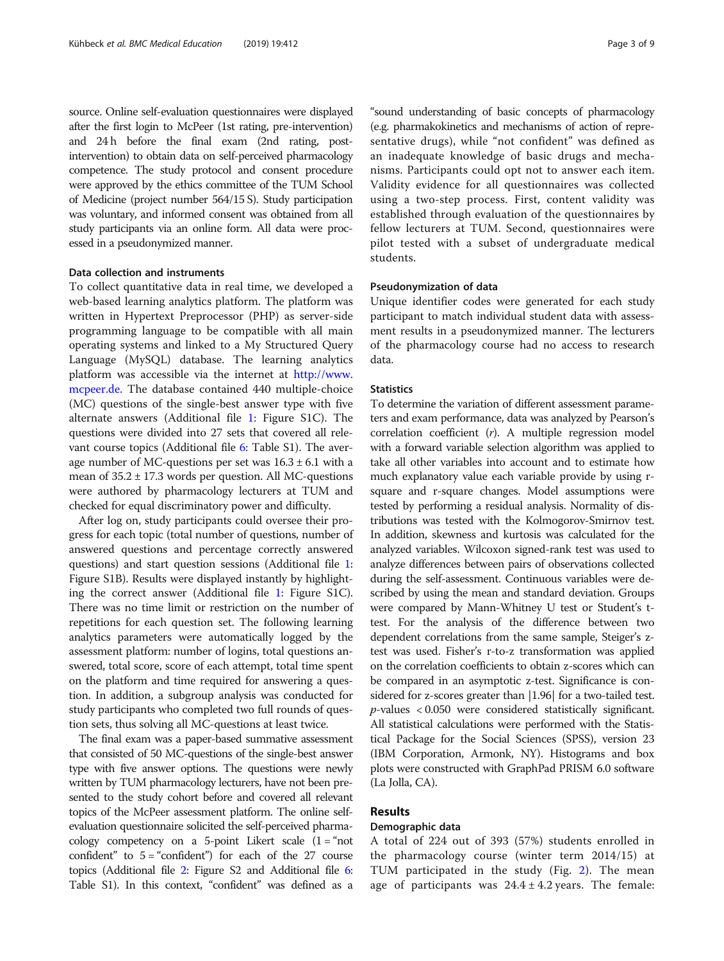source. Online self-evaluation questionnaires were displayed after the first login to McPeer (1st rating, pre-intervention) and 24 h before the final exam (2nd rating, postintervention) to obtain data on self-perceived pharmacology competence. The study protocol and consent procedure were approved by the ethics committee of the TUM School of Medicine (project number 564/15 S). Study participation was voluntary, and informed consent was obtained from all study participants via an online form. All data were processed in a pseudonymized manner.

## Data collection and instruments

To collect quantitative data in real time, we developed a web-based learning analytics platform. The platform was written in Hypertext Preprocessor (PHP) as server-side programming language to be compatible with all main operating systems and linked to a My Structured Query Language (MySQL) database. The learning analytics platform was accessible via the internet at [http://www.](http://www.mcpeer.de) [mcpeer.de.](http://www.mcpeer.de) The database contained 440 multiple-choice (MC) questions of the single-best answer type with five alternate answers (Additional file [1:](#page-7-0) Figure S1C). The questions were divided into 27 sets that covered all relevant course topics (Additional file [6:](#page-7-0) Table S1). The average number of MC-questions per set was  $16.3 \pm 6.1$  with a mean of  $35.2 \pm 17.3$  words per question. All MC-questions were authored by pharmacology lecturers at TUM and checked for equal discriminatory power and difficulty.

After log on, study participants could oversee their progress for each topic (total number of questions, number of answered questions and percentage correctly answered questions) and start question sessions (Additional file [1](#page-7-0): Figure S1B). Results were displayed instantly by highlighting the correct answer (Additional file [1](#page-7-0): Figure S1C). There was no time limit or restriction on the number of repetitions for each question set. The following learning analytics parameters were automatically logged by the assessment platform: number of logins, total questions answered, total score, score of each attempt, total time spent on the platform and time required for answering a question. In addition, a subgroup analysis was conducted for study participants who completed two full rounds of question sets, thus solving all MC-questions at least twice.

The final exam was a paper-based summative assessment that consisted of 50 MC-questions of the single-best answer type with five answer options. The questions were newly written by TUM pharmacology lecturers, have not been presented to the study cohort before and covered all relevant topics of the McPeer assessment platform. The online selfevaluation questionnaire solicited the self-perceived pharmacology competency on a 5-point Likert scale  $(1 = "not$ confident" to  $5 =$  "confident") for each of the 27 course topics (Additional file [2](#page-7-0): Figure S2 and Additional file [6](#page-7-0): Table S1). In this context, "confident" was defined as a

"sound understanding of basic concepts of pharmacology (e.g. pharmakokinetics and mechanisms of action of representative drugs), while "not confident" was defined as an inadequate knowledge of basic drugs and mechanisms. Participants could opt not to answer each item. Validity evidence for all questionnaires was collected using a two-step process. First, content validity was established through evaluation of the questionnaires by fellow lecturers at TUM. Second, questionnaires were pilot tested with a subset of undergraduate medical students.

## Pseudonymization of data

Unique identifier codes were generated for each study participant to match individual student data with assessment results in a pseudonymized manner. The lecturers of the pharmacology course had no access to research data.

#### **Statistics**

To determine the variation of different assessment parameters and exam performance, data was analyzed by Pearson's correlation coefficient (r). A multiple regression model with a forward variable selection algorithm was applied to take all other variables into account and to estimate how much explanatory value each variable provide by using rsquare and r-square changes. Model assumptions were tested by performing a residual analysis. Normality of distributions was tested with the Kolmogorov-Smirnov test. In addition, skewness and kurtosis was calculated for the analyzed variables. Wilcoxon signed-rank test was used to analyze differences between pairs of observations collected during the self-assessment. Continuous variables were described by using the mean and standard deviation. Groups were compared by Mann-Whitney U test or Student's ttest. For the analysis of the difference between two dependent correlations from the same sample, Steiger's ztest was used. Fisher's r-to-z transformation was applied on the correlation coefficients to obtain z-scores which can be compared in an asymptotic z-test. Significance is considered for z-scores greater than |1.96| for a two-tailed test.  $p$ -values  $< 0.050$  were considered statistically significant. All statistical calculations were performed with the Statistical Package for the Social Sciences (SPSS), version 23 (IBM Corporation, Armonk, NY). Histograms and box plots were constructed with GraphPad PRISM 6.0 software (La Jolla, CA).

#### Results

#### Demographic data

A total of 224 out of 393 (57%) students enrolled in the pharmacology course (winter term 2014/15) at TUM participated in the study (Fig. [2\)](#page-3-0). The mean age of participants was  $24.4 \pm 4.2$  years. The female: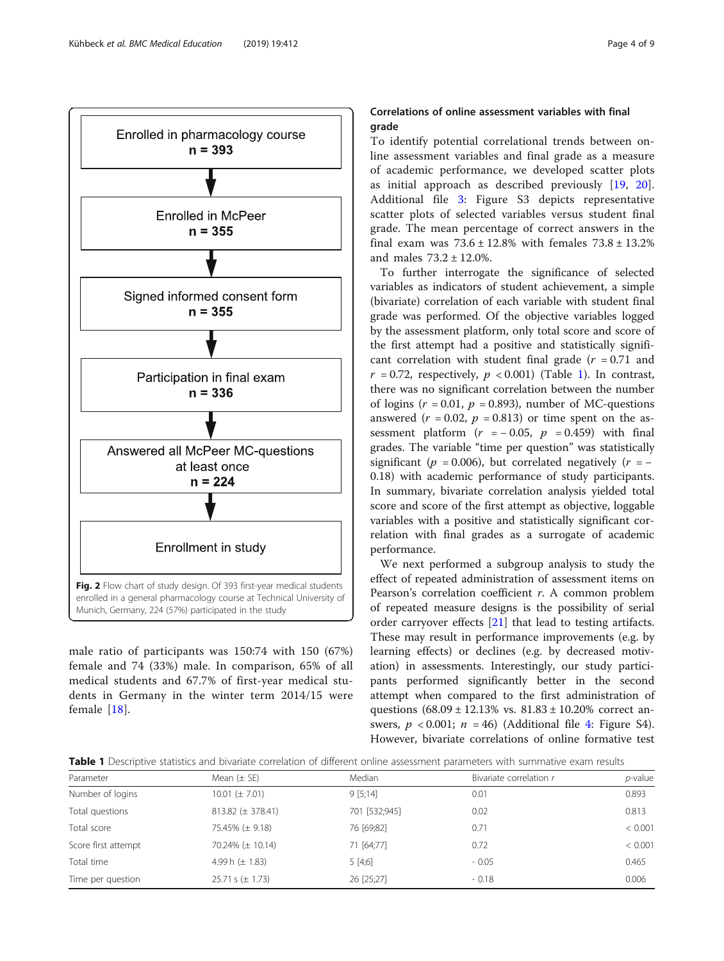<span id="page-3-0"></span>

male ratio of participants was 150:74 with 150 (67%) female and 74 (33%) male. In comparison, 65% of all medical students and 67.7% of first-year medical students in Germany in the winter term 2014/15 were female [[18\]](#page-8-0).

# Correlations of online assessment variables with final grade

To identify potential correlational trends between online assessment variables and final grade as a measure of academic performance, we developed scatter plots as initial approach as described previously [[19,](#page-8-0) [20](#page-8-0)]. Additional file [3:](#page-7-0) Figure S3 depicts representative scatter plots of selected variables versus student final grade. The mean percentage of correct answers in the final exam was  $73.6 \pm 12.8\%$  with females  $73.8 \pm 13.2\%$ and males 73.2 ± 12.0%.

To further interrogate the significance of selected variables as indicators of student achievement, a simple (bivariate) correlation of each variable with student final grade was performed. Of the objective variables logged by the assessment platform, only total score and score of the first attempt had a positive and statistically significant correlation with student final grade  $(r = 0.71$  and  $r = 0.72$ , respectively,  $p < 0.001$ ) (Table 1). In contrast, there was no significant correlation between the number of logins ( $r = 0.01$ ,  $p = 0.893$ ), number of MC-questions answered  $(r = 0.02, p = 0.813)$  or time spent on the assessment platform ( $r = -0.05$ ,  $p = 0.459$ ) with final grades. The variable "time per question" was statistically significant ( $p = 0.006$ ), but correlated negatively ( $r = -$ 0.18) with academic performance of study participants. In summary, bivariate correlation analysis yielded total score and score of the first attempt as objective, loggable variables with a positive and statistically significant correlation with final grades as a surrogate of academic performance.

We next performed a subgroup analysis to study the effect of repeated administration of assessment items on Pearson's correlation coefficient r. A common problem of repeated measure designs is the possibility of serial order carryover effects [[21\]](#page-8-0) that lead to testing artifacts. These may result in performance improvements (e.g. by learning effects) or declines (e.g. by decreased motivation) in assessments. Interestingly, our study participants performed significantly better in the second attempt when compared to the first administration of questions  $(68.09 \pm 12.13\% \text{ vs. } 81.83 \pm 10.20\% \text{ correct an-}$ swers,  $p < 0.001$ ;  $n = 46$  $n = 46$  $n = 46$ ) (Additional file 4: Figure S4). However, bivariate correlations of online formative test

Table 1 Descriptive statistics and bivariate correlation of different online assessment parameters with summative exam results

| Parameter           | Mean $(\pm$ SE)         | Median        | Bivariate correlation r | $p$ -value                  |  |
|---------------------|-------------------------|---------------|-------------------------|-----------------------------|--|
| Number of logins    | 10.01 ( $\pm$ 7.01)     | 9[5;14]       | 0.01                    | 0.893                       |  |
| Total questions     | $813.82 \ (\pm 378.41)$ | 701 [532;945] | 0.02                    | 0.813                       |  |
| Total score         | 75.45% (± 9.18)         | 76 [69;82]    | 0.71                    | < 0.001<br>< 0.001<br>0.465 |  |
| Score first attempt | 70.24% (± 10.14)        | 71 [64;77]    | 0.72                    |                             |  |
| Total time          | 4.99 h $(\pm 1.83)$     | 5[4;6]        | $-0.05$                 |                             |  |
| Time per question   | 25.71 s $(\pm 1.73)$    | 26 [25:27]    | $-0.18$                 | 0.006                       |  |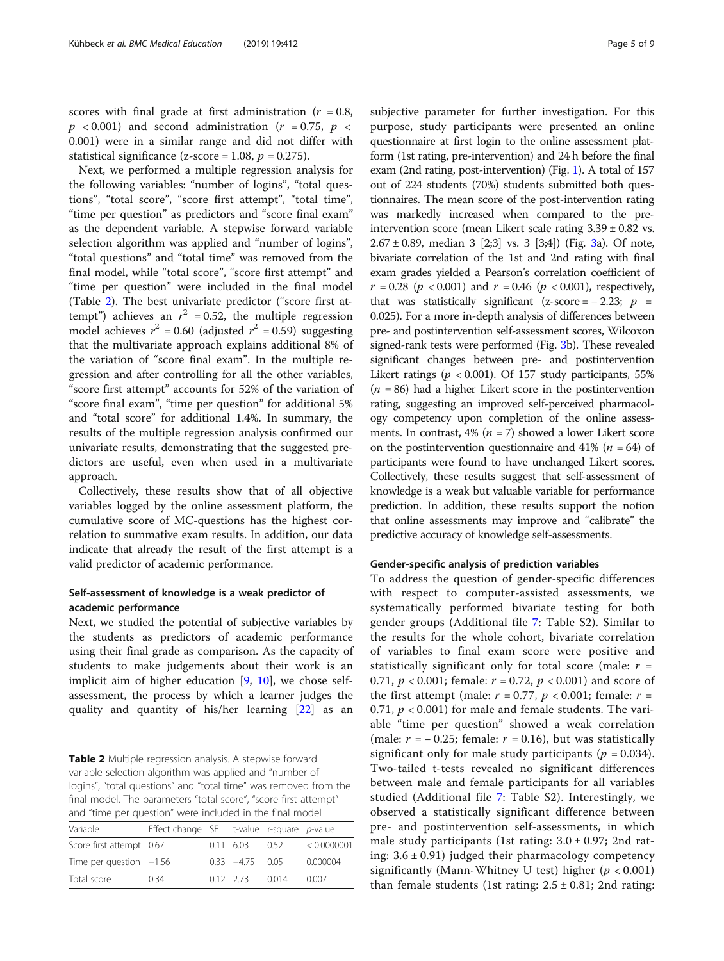scores with final grade at first administration ( $r = 0.8$ ,  $p \leq 0.001$ ) and second administration ( $r = 0.75$ ,  $p \leq$ 0.001) were in a similar range and did not differ with statistical significance (z-score = 1.08,  $p = 0.275$ ).

Next, we performed a multiple regression analysis for the following variables: "number of logins", "total questions", "total score", "score first attempt", "total time", "time per question" as predictors and "score final exam" as the dependent variable. A stepwise forward variable selection algorithm was applied and "number of logins", "total questions" and "total time" was removed from the final model, while "total score", "score first attempt" and "time per question" were included in the final model (Table 2). The best univariate predictor ("score first attempt") achieves an  $r^2 = 0.52$ , the multiple regression model achieves  $r^2$  = 0.60 (adjusted  $r^2$  = 0.59) suggesting that the multivariate approach explains additional 8% of the variation of "score final exam". In the multiple regression and after controlling for all the other variables, "score first attempt" accounts for 52% of the variation of "score final exam", "time per question" for additional 5% and "total score" for additional 1.4%. In summary, the results of the multiple regression analysis confirmed our univariate results, demonstrating that the suggested predictors are useful, even when used in a multivariate approach.

Collectively, these results show that of all objective variables logged by the online assessment platform, the cumulative score of MC-questions has the highest correlation to summative exam results. In addition, our data indicate that already the result of the first attempt is a valid predictor of academic performance.

# Self-assessment of knowledge is a weak predictor of academic performance

Next, we studied the potential of subjective variables by the students as predictors of academic performance using their final grade as comparison. As the capacity of students to make judgements about their work is an implicit aim of higher education  $[9, 10]$  $[9, 10]$  $[9, 10]$  $[9, 10]$  $[9, 10]$ , we chose selfassessment, the process by which a learner judges the quality and quantity of his/her learning [\[22\]](#page-8-0) as an

Table 2 Multiple regression analysis. A stepwise forward variable selection algorithm was applied and "number of logins", "total questions" and "total time" was removed from the final model. The parameters "total score", "score first attempt" and "time per question" were included in the final model

| Variable                  | Effect change $SE$ t-value r-square p-value |                   |       |             |
|---------------------------|---------------------------------------------|-------------------|-------|-------------|
| Score first attempt 0.67  |                                             | $0.11 \quad 6.03$ | 0.52  | < 0.0000001 |
| Time per question $-1.56$ |                                             | $0.33 -4.75 0.05$ |       | 0.000004    |
| Total score               | 0.34                                        | 0.12 2.73         | 0.014 | 0.007       |

subjective parameter for further investigation. For this purpose, study participants were presented an online questionnaire at first login to the online assessment platform (1st rating, pre-intervention) and 24 h before the final exam (2nd rating, post-intervention) (Fig. [1\)](#page-1-0). A total of 157 out of 224 students (70%) students submitted both questionnaires. The mean score of the post-intervention rating was markedly increased when compared to the preintervention score (mean Likert scale rating  $3.39 \pm 0.82$  vs.  $2.67 \pm 0.89$ , median [3](#page-5-0) [2;3] vs. 3 [3;4]) (Fig. 3a). Of note, bivariate correlation of the 1st and 2nd rating with final exam grades yielded a Pearson's correlation coefficient of  $r = 0.28$  ( $p < 0.001$ ) and  $r = 0.46$  ( $p < 0.001$ ), respectively, that was statistically significant (z-score =  $-2.23$ ;  $p =$ 0.025). For a more in-depth analysis of differences between pre- and postintervention self-assessment scores, Wilcoxon signed-rank tests were performed (Fig. [3](#page-5-0)b). These revealed significant changes between pre- and postintervention Likert ratings ( $p < 0.001$ ). Of 157 study participants, 55%  $(n = 86)$  had a higher Likert score in the postintervention rating, suggesting an improved self-perceived pharmacology competency upon completion of the online assessments. In contrast,  $4\%$  ( $n = 7$ ) showed a lower Likert score on the postintervention questionnaire and 41% ( $n = 64$ ) of participants were found to have unchanged Likert scores. Collectively, these results suggest that self-assessment of knowledge is a weak but valuable variable for performance prediction. In addition, these results support the notion that online assessments may improve and "calibrate" the predictive accuracy of knowledge self-assessments.

#### Gender-specific analysis of prediction variables

To address the question of gender-specific differences with respect to computer-assisted assessments, we systematically performed bivariate testing for both gender groups (Additional file [7](#page-7-0): Table S2). Similar to the results for the whole cohort, bivariate correlation of variables to final exam score were positive and statistically significant only for total score (male:  $r =$ 0.71,  $p < 0.001$ ; female:  $r = 0.72$ ,  $p < 0.001$ ) and score of the first attempt (male:  $r = 0.77$ ,  $p < 0.001$ ; female:  $r =$ 0.71,  $p < 0.001$ ) for male and female students. The variable "time per question" showed a weak correlation (male:  $r = -0.25$ ; female:  $r = 0.16$ ), but was statistically significant only for male study participants ( $p = 0.034$ ). Two-tailed t-tests revealed no significant differences between male and female participants for all variables studied (Additional file [7:](#page-7-0) Table S2). Interestingly, we observed a statistically significant difference between pre- and postintervention self-assessments, in which male study participants (1st rating:  $3.0 \pm 0.97$ ; 2nd rating:  $3.6 \pm 0.91$ ) judged their pharmacology competency significantly (Mann-Whitney U test) higher  $(p < 0.001)$ than female students (1st rating:  $2.5 \pm 0.81$ ; 2nd rating: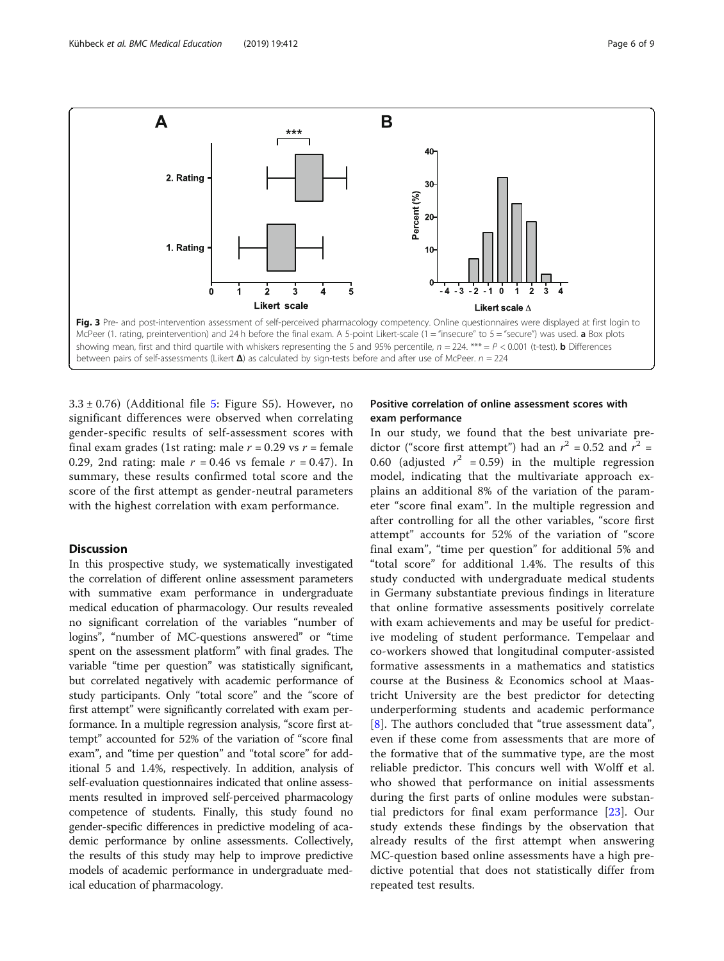<span id="page-5-0"></span>

 $3.3 \pm 0.76$ ) (Additional file [5](#page-7-0): Figure S5). However, no significant differences were observed when correlating gender-specific results of self-assessment scores with final exam grades (1st rating: male  $r = 0.29$  vs  $r =$  female 0.29, 2nd rating: male  $r = 0.46$  vs female  $r = 0.47$ ). In summary, these results confirmed total score and the score of the first attempt as gender-neutral parameters with the highest correlation with exam performance.

# **Discussion**

In this prospective study, we systematically investigated the correlation of different online assessment parameters with summative exam performance in undergraduate medical education of pharmacology. Our results revealed no significant correlation of the variables "number of logins", "number of MC-questions answered" or "time spent on the assessment platform" with final grades. The variable "time per question" was statistically significant, but correlated negatively with academic performance of study participants. Only "total score" and the "score of first attempt" were significantly correlated with exam performance. In a multiple regression analysis, "score first attempt" accounted for 52% of the variation of "score final exam", and "time per question" and "total score" for additional 5 and 1.4%, respectively. In addition, analysis of self-evaluation questionnaires indicated that online assessments resulted in improved self-perceived pharmacology competence of students. Finally, this study found no gender-specific differences in predictive modeling of academic performance by online assessments. Collectively, the results of this study may help to improve predictive models of academic performance in undergraduate medical education of pharmacology.

# Positive correlation of online assessment scores with exam performance

In our study, we found that the best univariate predictor ("score first attempt") had an  $r^2 = 0.52$  and  $r^2 =$ 0.60 (adjusted  $r^2 = 0.59$ ) in the multiple regression model, indicating that the multivariate approach explains an additional 8% of the variation of the parameter "score final exam". In the multiple regression and after controlling for all the other variables, "score first attempt" accounts for 52% of the variation of "score final exam", "time per question" for additional 5% and "total score" for additional 1.4%. The results of this study conducted with undergraduate medical students in Germany substantiate previous findings in literature that online formative assessments positively correlate with exam achievements and may be useful for predictive modeling of student performance. Tempelaar and co-workers showed that longitudinal computer-assisted formative assessments in a mathematics and statistics course at the Business & Economics school at Maastricht University are the best predictor for detecting underperforming students and academic performance [[8](#page-8-0)]. The authors concluded that "true assessment data", even if these come from assessments that are more of the formative that of the summative type, are the most reliable predictor. This concurs well with Wolff et al. who showed that performance on initial assessments during the first parts of online modules were substantial predictors for final exam performance [[23\]](#page-8-0). Our study extends these findings by the observation that already results of the first attempt when answering MC-question based online assessments have a high predictive potential that does not statistically differ from repeated test results.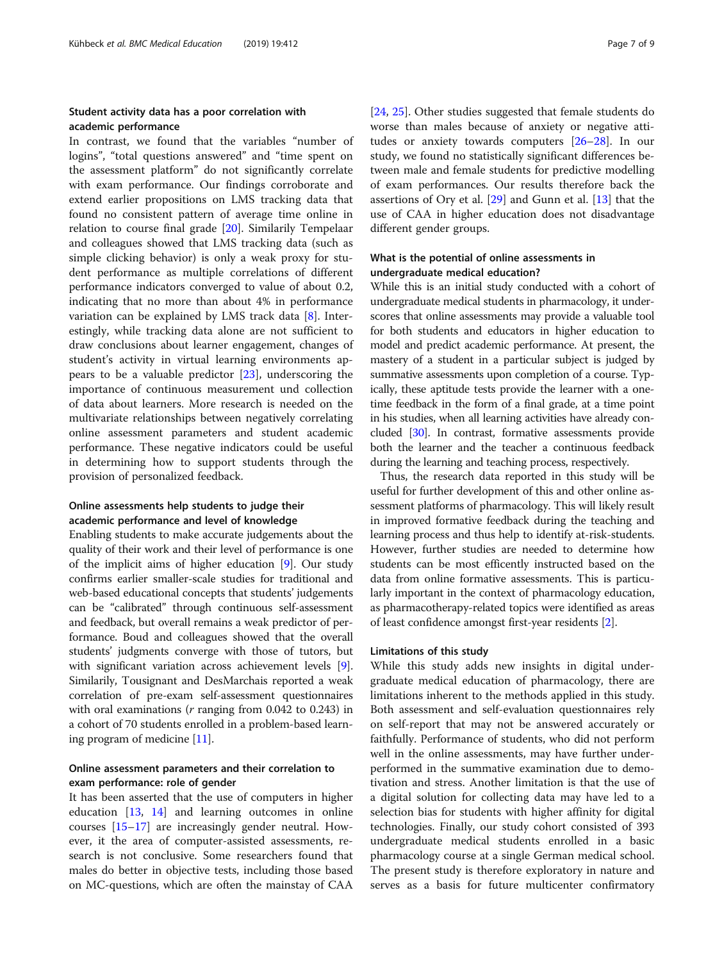# Student activity data has a poor correlation with academic performance

In contrast, we found that the variables "number of logins", "total questions answered" and "time spent on the assessment platform" do not significantly correlate with exam performance. Our findings corroborate and extend earlier propositions on LMS tracking data that found no consistent pattern of average time online in relation to course final grade [\[20](#page-8-0)]. Similarily Tempelaar and colleagues showed that LMS tracking data (such as simple clicking behavior) is only a weak proxy for student performance as multiple correlations of different performance indicators converged to value of about 0.2, indicating that no more than about 4% in performance variation can be explained by LMS track data [\[8](#page-8-0)]. Interestingly, while tracking data alone are not sufficient to draw conclusions about learner engagement, changes of student's activity in virtual learning environments appears to be a valuable predictor [\[23\]](#page-8-0), underscoring the importance of continuous measurement und collection of data about learners. More research is needed on the multivariate relationships between negatively correlating online assessment parameters and student academic performance. These negative indicators could be useful in determining how to support students through the provision of personalized feedback.

# Online assessments help students to judge their academic performance and level of knowledge

Enabling students to make accurate judgements about the quality of their work and their level of performance is one of the implicit aims of higher education [[9](#page-8-0)]. Our study confirms earlier smaller-scale studies for traditional and web-based educational concepts that students' judgements can be "calibrated" through continuous self-assessment and feedback, but overall remains a weak predictor of performance. Boud and colleagues showed that the overall students' judgments converge with those of tutors, but with significant variation across achievement levels [[9](#page-8-0)]. Similarily, Tousignant and DesMarchais reported a weak correlation of pre-exam self-assessment questionnaires with oral examinations ( $r$  ranging from 0.042 to 0.243) in a cohort of 70 students enrolled in a problem-based learning program of medicine [\[11\]](#page-8-0).

# Online assessment parameters and their correlation to exam performance: role of gender

It has been asserted that the use of computers in higher education [\[13](#page-8-0), [14](#page-8-0)] and learning outcomes in online courses [\[15](#page-8-0)–[17\]](#page-8-0) are increasingly gender neutral. However, it the area of computer-assisted assessments, research is not conclusive. Some researchers found that males do better in objective tests, including those based on MC-questions, which are often the mainstay of CAA [[24,](#page-8-0) [25\]](#page-8-0). Other studies suggested that female students do worse than males because of anxiety or negative attitudes or anxiety towards computers [[26](#page-8-0)–[28\]](#page-8-0). In our study, we found no statistically significant differences between male and female students for predictive modelling of exam performances. Our results therefore back the assertions of Ory et al. [[29\]](#page-8-0) and Gunn et al. [[13](#page-8-0)] that the use of CAA in higher education does not disadvantage different gender groups.

# What is the potential of online assessments in undergraduate medical education?

While this is an initial study conducted with a cohort of undergraduate medical students in pharmacology, it underscores that online assessments may provide a valuable tool for both students and educators in higher education to model and predict academic performance. At present, the mastery of a student in a particular subject is judged by summative assessments upon completion of a course. Typically, these aptitude tests provide the learner with a onetime feedback in the form of a final grade, at a time point in his studies, when all learning activities have already concluded [\[30](#page-8-0)]. In contrast, formative assessments provide both the learner and the teacher a continuous feedback during the learning and teaching process, respectively.

Thus, the research data reported in this study will be useful for further development of this and other online assessment platforms of pharmacology. This will likely result in improved formative feedback during the teaching and learning process and thus help to identify at-risk-students. However, further studies are needed to determine how students can be most efficently instructed based on the data from online formative assessments. This is particularly important in the context of pharmacology education, as pharmacotherapy-related topics were identified as areas of least confidence amongst first-year residents [\[2\]](#page-8-0).

#### Limitations of this study

While this study adds new insights in digital undergraduate medical education of pharmacology, there are limitations inherent to the methods applied in this study. Both assessment and self-evaluation questionnaires rely on self-report that may not be answered accurately or faithfully. Performance of students, who did not perform well in the online assessments, may have further underperformed in the summative examination due to demotivation and stress. Another limitation is that the use of a digital solution for collecting data may have led to a selection bias for students with higher affinity for digital technologies. Finally, our study cohort consisted of 393 undergraduate medical students enrolled in a basic pharmacology course at a single German medical school. The present study is therefore exploratory in nature and serves as a basis for future multicenter confirmatory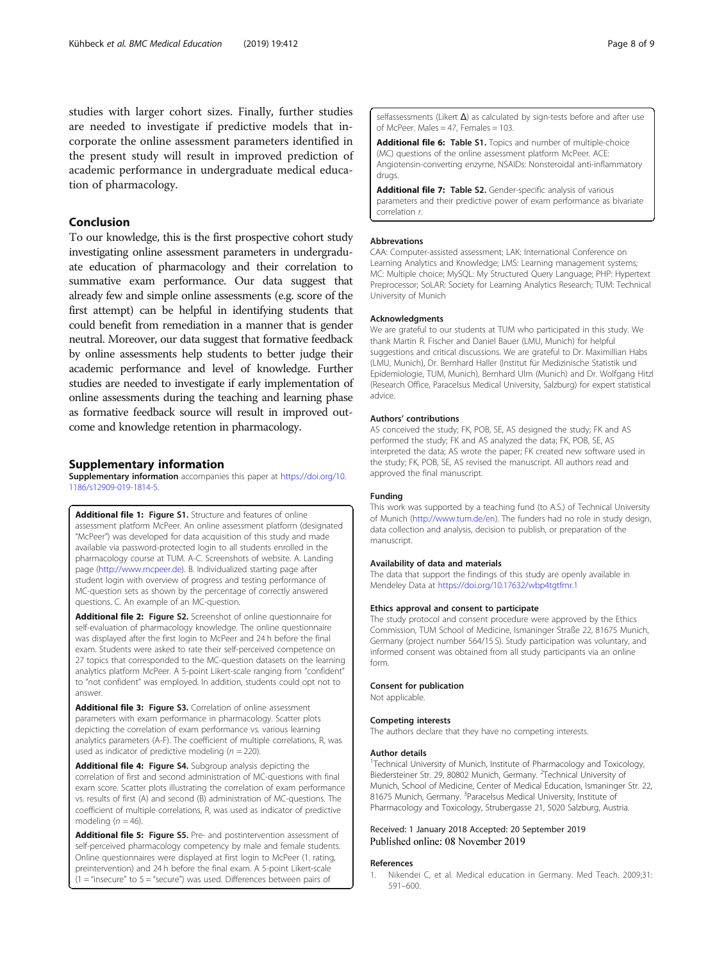<span id="page-7-0"></span>studies with larger cohort sizes. Finally, further studies are needed to investigate if predictive models that incorporate the online assessment parameters identified in the present study will result in improved prediction of academic performance in undergraduate medical education of pharmacology.

# Conclusion

To our knowledge, this is the first prospective cohort study investigating online assessment parameters in undergraduate education of pharmacology and their correlation to summative exam performance. Our data suggest that already few and simple online assessments (e.g. score of the first attempt) can be helpful in identifying students that could benefit from remediation in a manner that is gender neutral. Moreover, our data suggest that formative feedback by online assessments help students to better judge their academic performance and level of knowledge. Further studies are needed to investigate if early implementation of online assessments during the teaching and learning phase as formative feedback source will result in improved outcome and knowledge retention in pharmacology.

#### Supplementary information

Supplementary information accompanies this paper at [https://doi.org/10.](https://doi.org/10.1186/s12909-019-1814-5) [1186/s12909-019-1814-5.](https://doi.org/10.1186/s12909-019-1814-5)

Additional file 1: Figure S1. Structure and features of online assessment platform McPeer. An online assessment platform (designated "McPeer") was developed for data acquisition of this study and made available via password-protected login to all students enrolled in the pharmacology course at TUM. A-C. Screenshots of website. A. Landing page [\(http://www.mcpeer.de](http://www.mcpeer.de)). B. Individualized starting page after student login with overview of progress and testing performance of MC-question sets as shown by the percentage of correctly answered questions. C. An example of an MC-question.

Additional file 2: Figure S2. Screenshot of online questionnaire for self-evaluation of pharmacology knowledge. The online questionnaire was displayed after the first login to McPeer and 24 h before the final exam. Students were asked to rate their self-perceived competence on 27 topics that corresponded to the MC-question datasets on the learning analytics platform McPeer. A 5-point Likert-scale ranging from "confident" to "not confident" was employed. In addition, students could opt not to answer.

Additional file 3: Figure S3. Correlation of online assessment parameters with exam performance in pharmacology. Scatter plots depicting the correlation of exam performance vs. various learning analytics parameters (A-F). The coefficient of multiple correlations, R, was used as indicator of predictive modeling ( $n = 220$ ).

Additional file 4: Figure S4. Subgroup analysis depicting the correlation of first and second administration of MC-questions with final exam score. Scatter plots illustrating the correlation of exam performance vs. results of first (A) and second (B) administration of MC-questions. The coefficient of multiple correlations, R, was used as indicator of predictive modeling  $(n = 46)$ .

Additional file 5: Figure S5. Pre- and postintervention assessment of self-perceived pharmacology competency by male and female students. Online questionnaires were displayed at first login to McPeer (1. rating, preintervention) and 24 h before the final exam. A 5-point Likert-scale  $(1 = "insecure"$  to  $5 = "secure")$  was used. Differences between pairs of

selfassessments (Likert Δ) as calculated by sign-tests before and after use of McPeer. Males  $= 47$ . Females  $= 103$ .

Additional file 6: Table S1. Topics and number of multiple-choice (MC) questions of the online assessment platform McPeer. ACE: Angiotensin-converting enzyme, NSAIDs: Nonsteroidal anti-inflammatory drugs.

Additional file 7: Table S2. Gender-specific analysis of various parameters and their predictive power of exam performance as bivariate correlation r.

#### Abbrevations

CAA: Computer-assisted assessment; LAK: International Conference on Learning Analytics and Knowledge; LMS: Learning management systems; MC: Multiple choice; MySQL: My Structured Query Language; PHP: Hypertext Preprocessor; SoLAR: Society for Learning Analytics Research; TUM: Technical University of Munich

#### Acknowledgments

We are grateful to our students at TUM who participated in this study. We thank Martin R. Fischer and Daniel Bauer (LMU, Munich) for helpful suggestions and critical discussions. We are grateful to Dr. Maximillian Habs (LMU, Munich), Dr. Bernhard Haller (Institut für Medizinische Statistik und Epidemiologie, TUM, Munich), Bernhard Ulm (Munich) and Dr. Wolfgang Hitzl (Research Office, Paracelsus Medical University, Salzburg) for expert statistical advice.

#### Authors' contributions

AS conceived the study; FK, POB, SE, AS designed the study; FK and AS performed the study; FK and AS analyzed the data; FK, POB, SE, AS interpreted the data; AS wrote the paper; FK created new software used in the study; FK, POB, SE, AS revised the manuscript. All authors read and approved the final manuscript.

#### Funding

This work was supported by a teaching fund (to A.S.) of Technical University of Munich (<http://www.tum.de/en>). The funders had no role in study design, data collection and analysis, decision to publish, or preparation of the manuscript.

#### Availability of data and materials

The data that support the findings of this study are openly available in Mendeley Data at <https://doi.org/10.17632/wbp4tgtfmr.1>

#### Ethics approval and consent to participate

The study protocol and consent procedure were approved by the Ethics Commission, TUM School of Medicine, Ismaninger Straße 22, 81675 Munich, Germany (project number 564/15 S). Study participation was voluntary, and informed consent was obtained from all study participants via an online form.

#### Consent for publication

Not applicable.

#### Competing interests The authors declare that they have no competing interests.

#### Author details

<sup>1</sup>Technical University of Munich, Institute of Pharmacology and Toxicology, Biedersteiner Str. 29, 80802 Munich, Germany. <sup>2</sup>Technical University of Munich, School of Medicine, Center of Medical Education, Ismaninger Str. 22, 81675 Munich, Germany. <sup>3</sup>Paracelsus Medical University, Institute of Pharmacology and Toxicology, Strubergasse 21, 5020 Salzburg, Austria.

#### Received: 1 January 2018 Accepted: 20 September 2019 Published online: 08 November 2019

#### References

1. Nikendei C, et al. Medical education in Germany. Med Teach. 2009;31: 591–600.